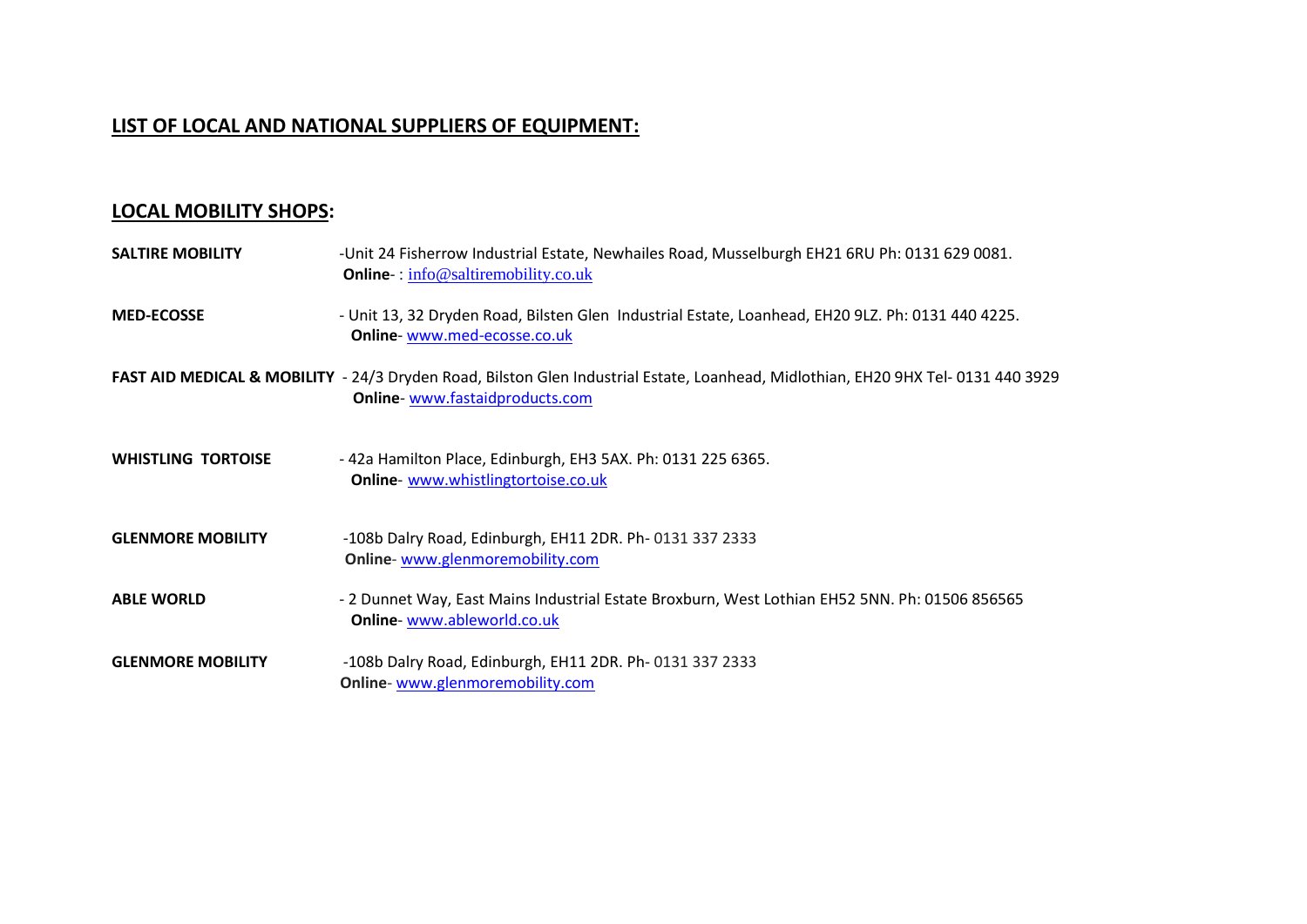# **LIST OF LOCAL AND NATIONAL SUPPLIERS OF EQUIPMENT:**

# **LOCAL MOBILITY SHOPS:**

| <b>SALTIRE MOBILITY</b>   | -Unit 24 Fisherrow Industrial Estate, Newhailes Road, Musselburgh EH21 6RU Ph: 0131 629 0081.<br><b>Online</b> : info@saltiremobility.co.uk                         |
|---------------------------|---------------------------------------------------------------------------------------------------------------------------------------------------------------------|
| <b>MED-ECOSSE</b>         | - Unit 13, 32 Dryden Road, Bilsten Glen Industrial Estate, Loanhead, EH20 9LZ. Ph: 0131 440 4225.<br>Online-www.med-ecosse.co.uk                                    |
|                           | FAST AID MEDICAL & MOBILITY - 24/3 Dryden Road, Bilston Glen Industrial Estate, Loanhead, Midlothian, EH20 9HX Tel- 0131 440 3929<br>Online-www.fastaidproducts.com |
| <b>WHISTLING TORTOISE</b> | - 42a Hamilton Place, Edinburgh, EH3 5AX. Ph: 0131 225 6365.<br>Online- www.whistlingtortoise.co.uk                                                                 |
| <b>GLENMORE MOBILITY</b>  | -108b Dalry Road, Edinburgh, EH11 2DR. Ph-0131 337 2333<br>Online-www.glenmoremobility.com                                                                          |
| <b>ABLE WORLD</b>         | - 2 Dunnet Way, East Mains Industrial Estate Broxburn, West Lothian EH52 5NN. Ph: 01506 856565<br>Online-www.ableworld.co.uk                                        |
| <b>GLENMORE MOBILITY</b>  | -108b Dalry Road, Edinburgh, EH11 2DR. Ph- 0131 337 2333<br>Online-www.glenmoremobility.com                                                                         |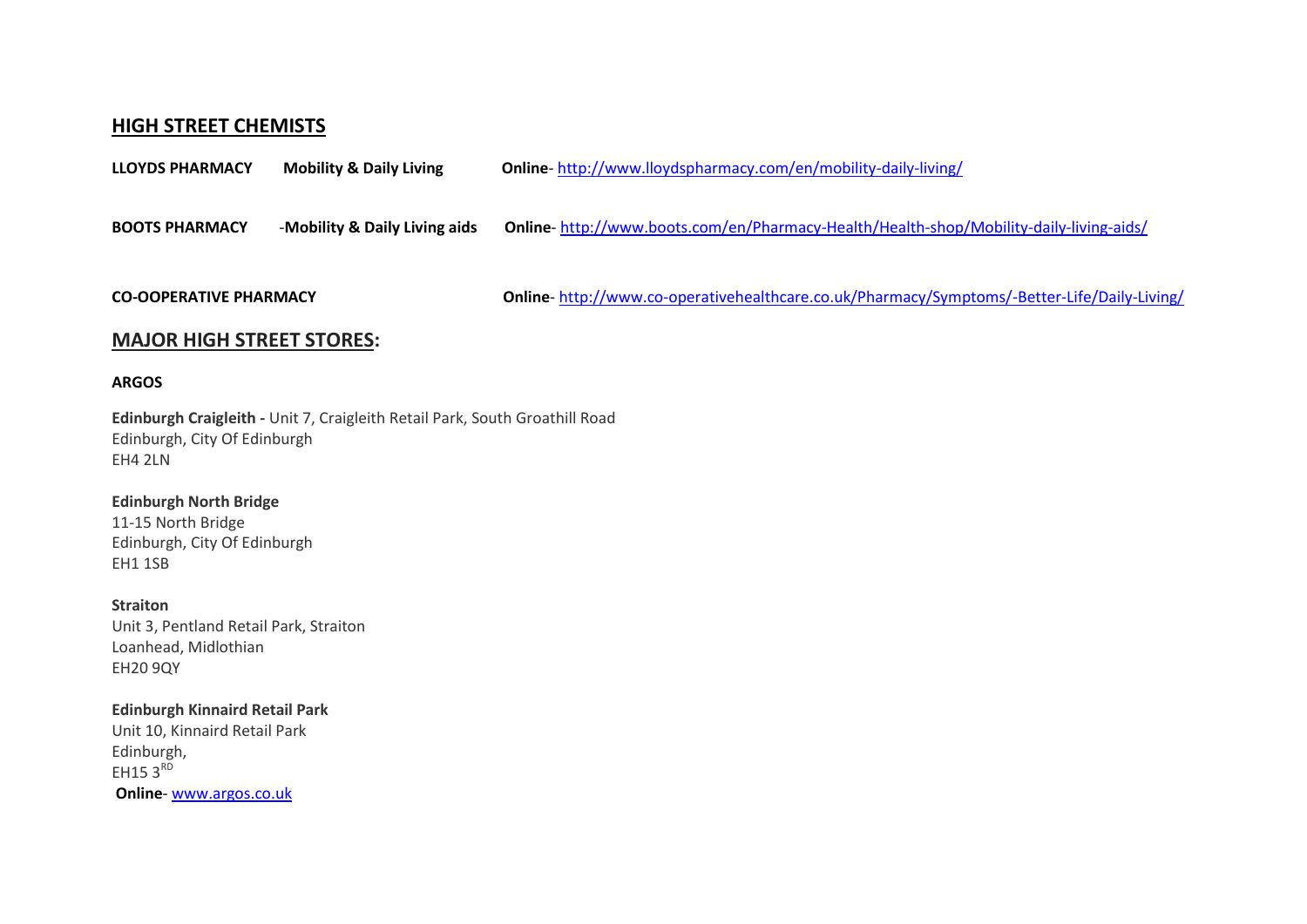## **HIGH STREET CHEMISTS**

| <b>LLOYDS PHARMACY</b>           | <b>Mobility &amp; Daily Living</b> | Online-http://www.lloydspharmacy.com/en/mobility-daily-living/                              |
|----------------------------------|------------------------------------|---------------------------------------------------------------------------------------------|
| <b>BOOTS PHARMACY</b>            | -Mobility & Daily Living aids      | Online-http://www.boots.com/en/Pharmacy-Health/Health-shop/Mobility-daily-living-aids/      |
| <b>CO-OOPERATIVE PHARMACY</b>    |                                    | Online-http://www.co-operativehealthcare.co.uk/Pharmacy/Symptoms/-Better-Life/Daily-Living/ |
| <b>MAJOR HIGH STREET STORES:</b> |                                    |                                                                                             |

## **ARGOS**

**[Edinburgh Craigleith -](http://www.argos.co.uk/webapp/wcs/stores/servlet/QASStoreLocator?strnbr=256&postcode=EH143DU&townName=EH143DU&distance=3.87&qasDisplayTerm=EH143DU&qasSearchTerm=322643,674659&nextView=ArgosStoreLocatorMainMap)** Unit 7, Craigleith Retail Park, South Groathill Road Edinburgh, City Of Edinburgh EH4 2LN

### **[Edinburgh North Bridge](http://www.argos.co.uk/webapp/wcs/stores/servlet/QASStoreLocator?strnbr=183&postcode=EH143DU&townName=EH143DU&distance=4.91&qasDisplayTerm=EH143DU&qasSearchTerm=325942,673741&nextView=ArgosStoreLocatorMainMap)**

11-15 North Bridge Edinburgh, City Of Edinburgh EH1 1SB

#### **Straiton**

Unit 3, Pentland Retail Park, Straiton Loanhead, Midlothian EH20 9QY

### **[Edinburgh Kinnaird Retail Park](http://www.argos.co.uk/webapp/wcs/stores/servlet/QASStoreLocator?strnbr=889&postcode=EH143DU&townName=EH143DU&distance=7.45&qasDisplayTerm=EH143DU&qasSearchTerm=331199,671972&nextView=ArgosStoreLocatorMainMap)**

Unit 10, Kinnaird Retail Park Edinburgh, EH15  $3^{RD}$ **Online**- [www.argos.co.uk](http://www.argos.co.uk/)